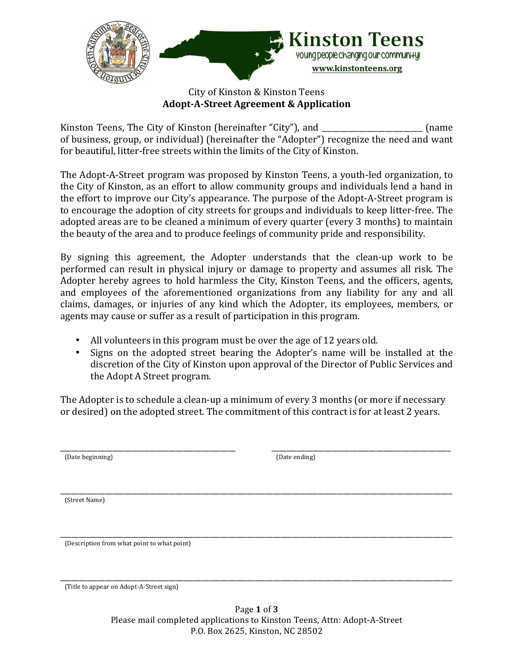

### City of Kinston & Kinston Teens **Adopt-A-Street Agreement & Application**

Kinston Teens, The City of Kinston (hereinafter "City"), and (name of business, group, or individual) (hereinafter the "Adopter") recognize the need and want for beautiful, litter-free streets within the limits of the City of Kinston.

The Adopt-A-Street program was proposed by Kinston Teens, a youth-led organization, to the City of Kinston, as an effort to allow community groups and individuals lend a hand in the effort to improve our City's appearance. The purpose of the Adopt-A-Street program is to encourage the adoption of city streets for groups and individuals to keep litter-free. The adopted areas are to be cleaned a minimum of every quarter (every 3 months) to maintain the beauty of the area and to produce feelings of community pride and responsibility.

By signing this agreement, the Adopter understands that the clean-up work to be performed can result in physical injury or damage to property and assumes all risk. The Adopter hereby agrees to hold harmless the City, Kinston Teens, and the officers, agents, and employees of the aforementioned organizations from any liability for any and all claims, damages, or injuries of any kind which the Adopter, its employees, members, or agents may cause or suffer as a result of participation in this program.

- All volunteers in this program must be over the age of 12 years old.
- Signs on the adopted street bearing the Adopter's name will be installed at the discretion of the City of Kinston upon approval of the Director of Public Services and the Adopt A Street program.

The Adopter is to schedule a clean-up a minimum of every 3 months (or more if necessary or desired) on the adopted street. The commitment of this contract is for at least 2 years.

 (Date beginning) (Date ending)

\_\_\_\_\_\_\_\_\_\_\_\_\_\_\_\_\_\_\_\_\_\_\_\_\_\_\_\_\_\_\_\_\_\_\_\_\_\_\_\_\_\_\_\_\_\_\_ \_\_\_\_\_\_\_\_\_\_\_\_\_\_\_\_\_\_\_\_\_\_\_\_\_\_\_\_\_\_\_\_\_\_\_\_\_\_\_\_\_\_\_\_\_\_\_\_

\_\_\_\_\_\_\_\_\_\_\_\_\_\_\_\_\_\_\_\_\_\_\_\_\_\_\_\_\_\_\_\_\_\_\_\_\_\_\_\_\_\_\_\_\_\_\_\_\_\_\_\_\_\_\_\_\_\_\_\_\_\_\_\_\_\_\_\_\_\_\_\_\_\_\_\_\_\_\_\_\_\_\_\_\_\_\_\_\_\_\_\_\_\_\_\_\_\_\_\_\_\_\_\_\_ (Street Name)

\_\_\_\_\_\_\_\_\_\_\_\_\_\_\_\_\_\_\_\_\_\_\_\_\_\_\_\_\_\_\_\_\_\_\_\_\_\_\_\_\_\_\_\_\_\_\_\_\_\_\_\_\_\_\_\_\_\_\_\_\_\_\_\_\_\_\_\_\_\_\_\_\_\_\_\_\_\_\_\_\_\_\_\_\_\_\_\_\_\_\_\_\_\_\_\_\_\_\_\_\_\_\_\_\_ (Description from what point to what point)

\_\_\_\_\_\_\_\_\_\_\_\_\_\_\_\_\_\_\_\_\_\_\_\_\_\_\_\_\_\_\_\_\_\_\_\_\_\_\_\_\_\_\_\_\_\_\_\_\_\_\_\_\_\_\_\_\_\_\_\_\_\_\_\_\_\_\_\_\_\_\_\_\_\_\_\_\_\_\_\_\_\_\_\_\_\_\_\_\_\_\_\_\_\_\_\_\_\_\_\_\_\_\_\_\_ (Title to appear on Adopt-A-Street sign)

> Page **1** of **3** Please mail completed applications to Kinston Teens, Attn: Adopt-A-Street P.O. Box 2625, Kinston, NC 28502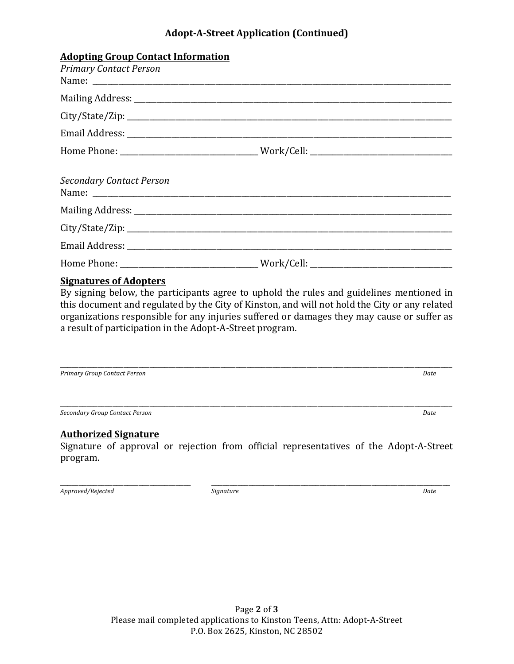# **Adopt-A-Street Application (Continued)**

| <b>Adopting Group Contact Information</b><br><b>Primary Contact Person</b> |  |
|----------------------------------------------------------------------------|--|
|                                                                            |  |
|                                                                            |  |
|                                                                            |  |
|                                                                            |  |
| <b>Secondary Contact Person</b>                                            |  |
|                                                                            |  |
|                                                                            |  |
|                                                                            |  |
|                                                                            |  |

## **Signatures of Adopters**

By signing below, the participants agree to uphold the rules and guidelines mentioned in this document and regulated by the City of Kinston, and will not hold the City or any related organizations responsible for any injuries suffered or damages they may cause or suffer as a result of participation in the Adopt-A-Street program.

\_\_\_\_\_\_\_\_\_\_\_\_\_\_\_\_\_\_\_\_\_\_\_\_\_\_\_\_\_\_\_\_\_\_\_\_\_\_\_\_\_\_\_\_\_\_\_\_\_\_\_\_\_\_\_\_\_\_\_\_\_\_\_\_\_\_\_\_\_\_\_\_\_\_\_\_\_\_\_\_\_\_\_\_\_\_\_\_\_\_\_\_\_\_\_\_\_\_\_\_\_\_\_\_\_ **Primary Group Contact Person** *Date* 

*Secondary Group Contact Person Date*

#### **Authorized Signature**

Signature of approval or rejection from official representatives of the Adopt-A-Street program.

\_\_\_\_\_\_\_\_\_\_\_\_\_\_\_\_\_\_\_\_\_\_\_\_\_\_\_\_\_\_\_\_\_\_\_\_\_\_\_\_\_\_\_\_\_\_\_\_\_\_\_\_\_\_\_\_\_\_\_\_\_\_\_\_\_\_\_\_\_\_\_\_\_\_\_\_\_\_\_\_\_\_\_\_\_\_\_\_\_\_\_\_\_\_\_\_\_\_\_\_\_\_\_\_\_

*Approved/Rejected Signature Date*

\_\_\_\_\_\_\_\_\_\_\_\_\_\_\_\_\_\_\_\_\_\_\_\_\_\_\_\_\_\_\_\_\_\_\_ \_\_\_\_\_\_\_\_\_\_\_\_\_\_\_\_\_\_\_\_\_\_\_\_\_\_\_\_\_\_\_\_\_\_\_\_\_\_\_\_\_\_\_\_\_\_\_\_\_\_\_\_\_\_\_\_\_\_\_\_\_\_\_\_